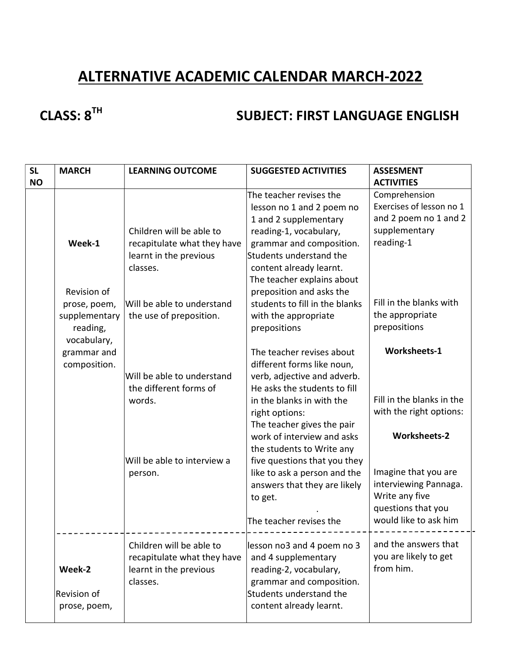# ALTERNATIVE ACADEMIC CALENDAR MARCH-2022

# CLASS: 8<sup>TH</sup> SUBJECT: FIRST LANGUAGE ENGLISH

| <b>SL</b> | <b>MARCH</b>                                             | <b>LEARNING OUTCOME</b>                                                                       | <b>SUGGESTED ACTIVITIES</b><br><b>ASSESMENT</b>                                                                         |                                                                                     |
|-----------|----------------------------------------------------------|-----------------------------------------------------------------------------------------------|-------------------------------------------------------------------------------------------------------------------------|-------------------------------------------------------------------------------------|
| <b>NO</b> |                                                          |                                                                                               |                                                                                                                         | <b>ACTIVITIES</b>                                                                   |
|           |                                                          | Children will be able to                                                                      | The teacher revises the<br>lesson no 1 and 2 poem no<br>1 and 2 supplementary<br>reading-1, vocabulary,                 | Comprehension<br>Exercises of lesson no 1<br>and 2 poem no 1 and 2<br>supplementary |
|           | Week-1                                                   | recapitulate what they have<br>learnt in the previous<br>classes.                             | grammar and composition.<br>Students understand the<br>content already learnt.<br>The teacher explains about            | reading-1                                                                           |
|           | Revision of                                              |                                                                                               | preposition and asks the                                                                                                |                                                                                     |
|           | prose, poem,<br>supplementary<br>reading,<br>vocabulary, | Will be able to understand<br>the use of preposition.                                         | students to fill in the blanks<br>with the appropriate<br>prepositions                                                  | Fill in the blanks with<br>the appropriate<br>prepositions                          |
|           | grammar and<br>composition.                              | Will be able to understand<br>the different forms of                                          | The teacher revises about<br>different forms like noun,<br>verb, adjective and adverb.<br>He asks the students to fill  | <b>Worksheets-1</b>                                                                 |
|           |                                                          | words.                                                                                        | in the blanks in with the<br>right options:<br>The teacher gives the pair                                               | Fill in the blanks in the<br>with the right options:                                |
|           |                                                          | Will be able to interview a<br>person.                                                        | work of interview and asks<br>the students to Write any<br>five questions that you they<br>like to ask a person and the | <b>Worksheets-2</b><br>Imagine that you are                                         |
|           |                                                          |                                                                                               | answers that they are likely<br>to get.                                                                                 | interviewing Pannaga.<br>Write any five<br>questions that you                       |
|           |                                                          |                                                                                               | The teacher revises the                                                                                                 | would like to ask him                                                               |
|           | Week-2                                                   | Children will be able to<br>recapitulate what they have<br>learnt in the previous<br>classes. | lesson no3 and 4 poem no 3<br>and 4 supplementary<br>reading-2, vocabulary,<br>grammar and composition.                 | and the answers that<br>you are likely to get<br>from him.                          |
|           | <b>Revision of</b><br>prose, poem,                       |                                                                                               | Students understand the<br>content already learnt.                                                                      |                                                                                     |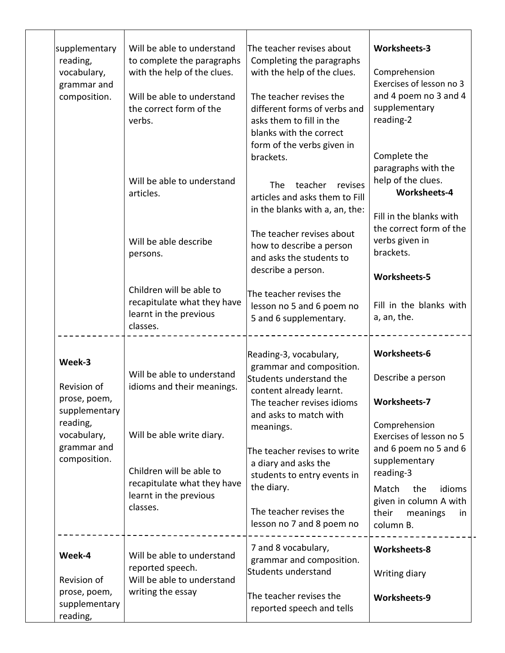| supplementary<br>reading,<br>vocabulary,<br>grammar and<br>composition. | Will be able to understand<br>to complete the paragraphs<br>with the help of the clues.<br>Will be able to understand<br>the correct form of the<br>verbs. | The teacher revises about<br>Completing the paragraphs<br>with the help of the clues.<br>The teacher revises the<br>different forms of verbs and<br>asks them to fill in the<br>blanks with the correct<br>form of the verbs given in | Worksheets-3<br>Comprehension<br>Exercises of lesson no 3<br>and 4 poem no 3 and 4<br>supplementary<br>reading-2                                               |  |
|-------------------------------------------------------------------------|------------------------------------------------------------------------------------------------------------------------------------------------------------|---------------------------------------------------------------------------------------------------------------------------------------------------------------------------------------------------------------------------------------|----------------------------------------------------------------------------------------------------------------------------------------------------------------|--|
|                                                                         | Will be able to understand<br>articles.                                                                                                                    | brackets.<br>teacher<br>The<br>revises<br>articles and asks them to Fill<br>in the blanks with a, an, the:                                                                                                                            | Complete the<br>paragraphs with the<br>help of the clues.<br><b>Worksheets-4</b><br>Fill in the blanks with                                                    |  |
|                                                                         | Will be able describe<br>persons.                                                                                                                          | The teacher revises about<br>how to describe a person<br>and asks the students to<br>describe a person.                                                                                                                               | the correct form of the<br>verbs given in<br>brackets.<br>Worksheets-5                                                                                         |  |
|                                                                         | Children will be able to<br>recapitulate what they have<br>learnt in the previous<br>classes.                                                              | The teacher revises the<br>lesson no 5 and 6 poem no<br>5 and 6 supplementary.                                                                                                                                                        | Fill in the blanks with<br>a, an, the.                                                                                                                         |  |
| Week-3<br>Revision of<br>prose, poem,<br>supplementary<br>reading,      | Will be able to understand<br>idioms and their meanings.                                                                                                   | Reading-3, vocabulary,<br>grammar and composition.<br>Students understand the<br>content already learnt.<br>The teacher revises idioms<br>and asks to match with                                                                      | Worksheets-6<br>Describe a person<br><b>Worksheets-7</b><br>Comprehension                                                                                      |  |
| vocabulary,<br>grammar and<br>composition.                              | Will be able write diary.<br>Children will be able to<br>recapitulate what they have<br>learnt in the previous<br>classes.                                 | meanings.<br>The teacher revises to write<br>a diary and asks the<br>students to entry events in<br>the diary.<br>The teacher revises the                                                                                             | Exercises of lesson no 5<br>and 6 poem no 5 and 6<br>supplementary<br>reading-3<br>Match<br>idioms<br>the<br>given in column A with<br>their<br>meanings<br>in |  |
| Week-4                                                                  | Will be able to understand<br>reported speech.                                                                                                             | lesson no 7 and 8 poem no<br>7 and 8 vocabulary,<br>grammar and composition.<br>Students understand                                                                                                                                   | column B.<br><b>Worksheets-8</b><br>Writing diary                                                                                                              |  |
| Revision of<br>prose, poem,<br>supplementary<br>reading,                | Will be able to understand<br>writing the essay                                                                                                            | The teacher revises the<br>reported speech and tells                                                                                                                                                                                  | Worksheets-9                                                                                                                                                   |  |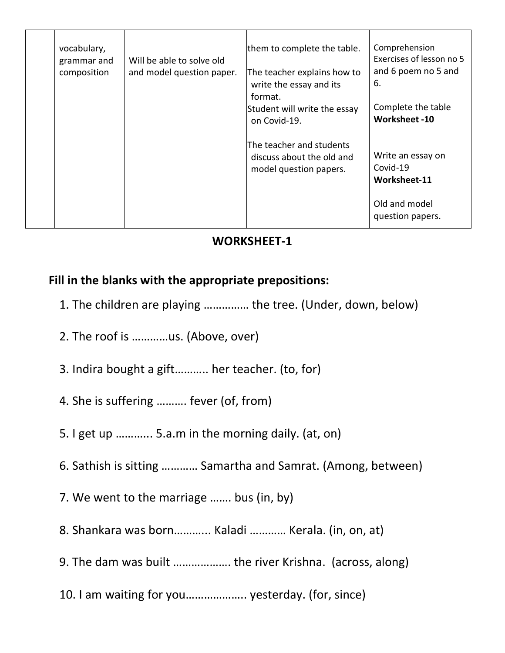| vocabulary,<br>grammar and<br>composition | Will be able to solve old<br>and model question paper. | them to complete the table.<br>The teacher explains how to<br>write the essay and its<br>format.<br>Student will write the essay<br>on Covid-19. | Comprehension<br>Exercises of lesson no 5<br>and 6 poem no 5 and<br>6.<br>Complete the table<br><b>Worksheet -10</b> |
|-------------------------------------------|--------------------------------------------------------|--------------------------------------------------------------------------------------------------------------------------------------------------|----------------------------------------------------------------------------------------------------------------------|
|                                           |                                                        | The teacher and students<br>discuss about the old and<br>model question papers.                                                                  | Write an essay on<br>Covid-19<br>Worksheet-11<br>Old and model<br>question papers.                                   |

# Fill in the blanks with the appropriate prepositions:

- 1. The children are playing …………… the tree. (Under, down, below)
- 2. The roof is …………us. (Above, over)
- 3. Indira bought a gift……….. her teacher. (to, for)
- 4. She is suffering ………. fever (of, from)
- 5. I get up ………... 5.a.m in the morning daily. (at, on)
- 6. Sathish is sitting ………… Samartha and Samrat. (Among, between)
- 7. We went to the marriage ……. bus (in, by)
- 8. Shankara was born………... Kaladi ………… Kerala. (in, on, at)
- 9. The dam was built ………………. the river Krishna. (across, along)
- 10. I am waiting for you……………….. yesterday. (for, since)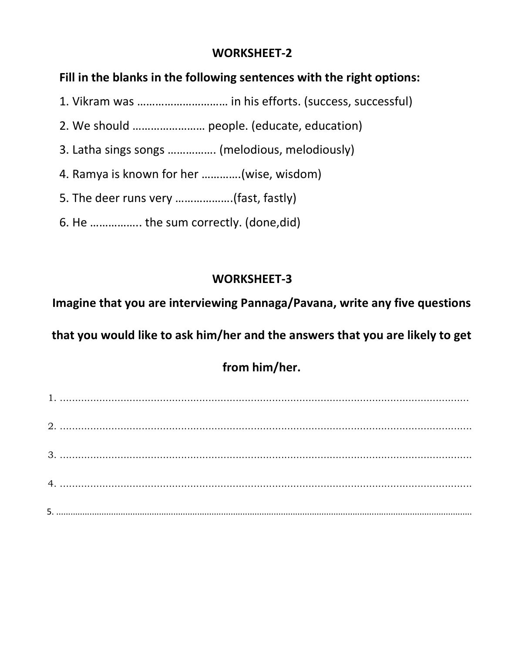## Fill in the blanks in the following sentences with the right options:

- 1. Vikram was ………………………… in his efforts. (success, successful)
- 2. We should …………………… people. (educate, education)
- 3. Latha sings songs ……………. (melodious, melodiously)
- 4. Ramya is known for her ………….(wise, wisdom)
- 5. The deer runs very ……………….(fast, fastly)
- 6. He …………….. the sum correctly. (done,did)

# WORKSHEET-3

Imagine that you are interviewing Pannaga/Pavana, write any five questions

that you would like to ask him/her and the answers that you are likely to get

# from him/her.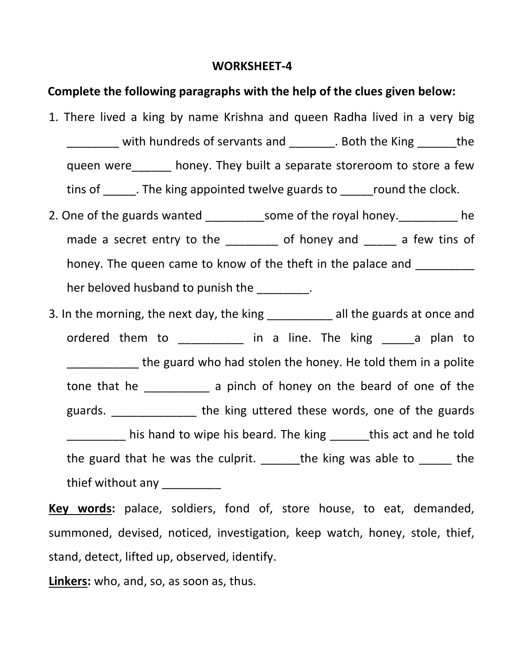#### Complete the following paragraphs with the help of the clues given below:

1. There lived a king by name Krishna and queen Radha lived in a very big \_\_\_\_\_\_\_\_ with hundreds of servants and \_\_\_\_\_\_\_. Both the King \_\_\_\_\_\_the queen were\_\_\_\_\_\_ honey. They built a separate storeroom to store a few tins of the king appointed twelve guards to the clock. 2. One of the guards wanted \_\_\_\_\_\_\_\_\_\_\_some of the royal honey. \_\_\_\_\_\_\_\_\_\_ he

made a secret entry to the entiry of honey and a few tins of honey. The queen came to know of the theft in the palace and her beloved husband to punish the \_\_\_\_\_\_\_\_.

3. In the morning, the next day, the king \_\_\_\_\_\_\_\_\_\_ all the guards at once and ordered them to \_\_\_\_\_\_\_\_\_ in a line. The king \_\_\_\_\_a plan to \_\_\_\_\_\_\_\_\_\_\_ the guard who had stolen the honey. He told them in a polite tone that he \_\_\_\_\_\_\_\_\_\_ a pinch of honey on the beard of one of the guards. \_\_\_\_\_\_\_\_\_\_\_\_\_ the king uttered these words, one of the guards his hand to wipe his beard. The king this act and he told the guard that he was the culprit. The king was able to the thief without any

Key words: palace, soldiers, fond of, store house, to eat, demanded, summoned, devised, noticed, investigation, keep watch, honey, stole, thief, stand, detect, lifted up, observed, identify.

Linkers: who, and, so, as soon as, thus.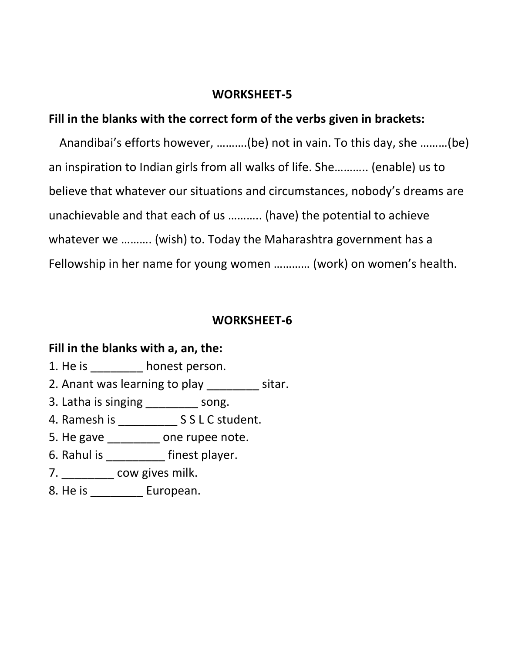### Fill in the blanks with the correct form of the verbs given in brackets:

Anandibai's efforts however, ……….(be) not in vain. To this day, she ………(be) an inspiration to Indian girls from all walks of life. She……….. (enable) us to believe that whatever our situations and circumstances, nobody's dreams are unachievable and that each of us ……….. (have) the potential to achieve whatever we ………. (wish) to. Today the Maharashtra government has a Fellowship in her name for young women ………… (work) on women's health.

#### WORKSHEET-6

#### Fill in the blanks with a, an, the:

- 1. He is honest person.
- 2. Anant was learning to play \_\_\_\_\_\_\_\_ sitar.
- 3. Latha is singing \_\_\_\_\_\_\_\_ song.
- 4. Ramesh is \_\_\_\_\_\_\_\_\_ S S L C student.
- 5. He gave \_\_\_\_\_\_\_\_ one rupee note.
- 6. Rahul is \_\_\_\_\_\_\_\_\_ finest player.
- 7. \_\_\_\_\_\_\_\_ cow gives milk.
- 8. He is \_\_\_\_\_\_\_\_\_\_ European.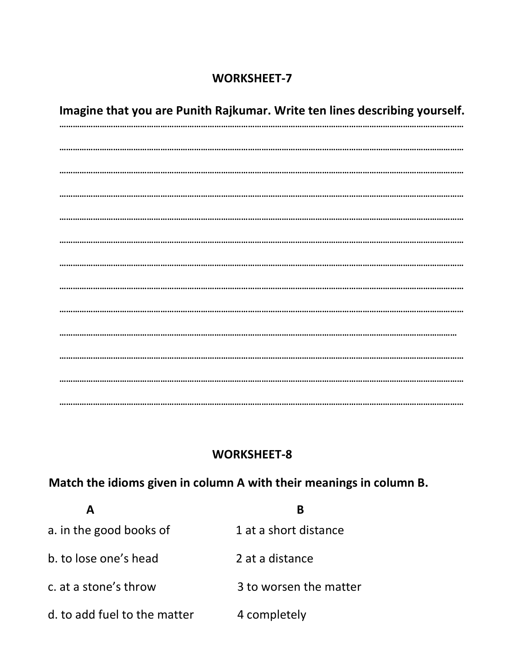Imagine that you are Punith Rajkumar. Write ten lines describing yourself. 

#### **WORKSHEET-8**

# Match the idioms given in column A with their meanings in column B.

|                              | R                      |
|------------------------------|------------------------|
| a. in the good books of      | 1 at a short distance  |
| b. to lose one's head        | 2 at a distance        |
| c. at a stone's throw        | 3 to worsen the matter |
| d, to add fuel to the matter | 4 completely           |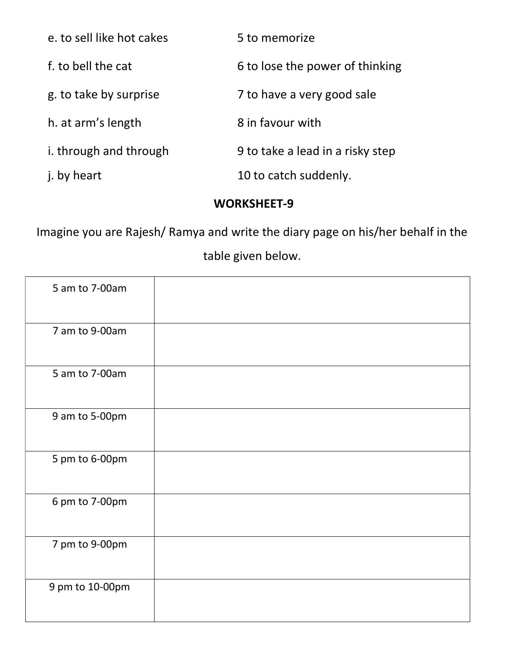| e, to sell like hot cakes | 5 to memorize                    |
|---------------------------|----------------------------------|
| f. to bell the cat        | 6 to lose the power of thinking  |
| g. to take by surprise    | 7 to have a very good sale       |
| h. at arm's length        | 8 in favour with                 |
| i. through and through    | 9 to take a lead in a risky step |
| j. by heart               | 10 to catch suddenly.            |

Imagine you are Rajesh/ Ramya and write the diary page on his/her behalf in the table given below.

| 5 am to 7-00am  |  |
|-----------------|--|
| 7 am to 9-00am  |  |
| 5 am to 7-00am  |  |
| 9 am to 5-00pm  |  |
| 5 pm to 6-00pm  |  |
| 6 pm to 7-00pm  |  |
| 7 pm to 9-00pm  |  |
| 9 pm to 10-00pm |  |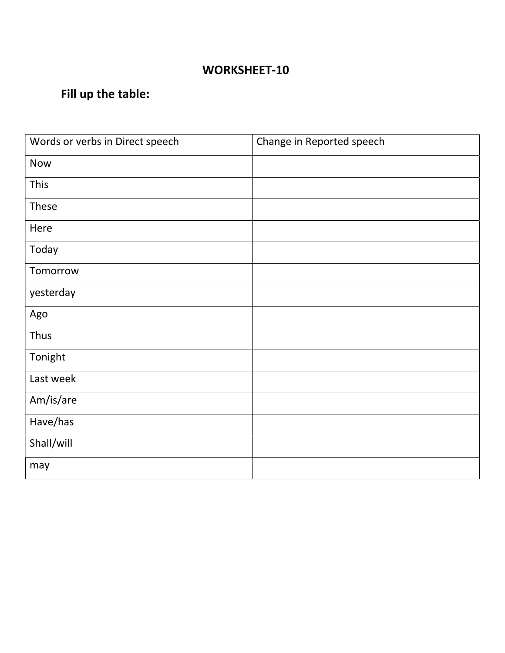# Fill up the table:

| Words or verbs in Direct speech | Change in Reported speech |
|---------------------------------|---------------------------|
| <b>Now</b>                      |                           |
| This                            |                           |
| These                           |                           |
| Here                            |                           |
| Today                           |                           |
| Tomorrow                        |                           |
| yesterday                       |                           |
| Ago                             |                           |
| Thus                            |                           |
| Tonight                         |                           |
| Last week                       |                           |
| Am/is/are                       |                           |
| Have/has                        |                           |
| Shall/will                      |                           |
| may                             |                           |